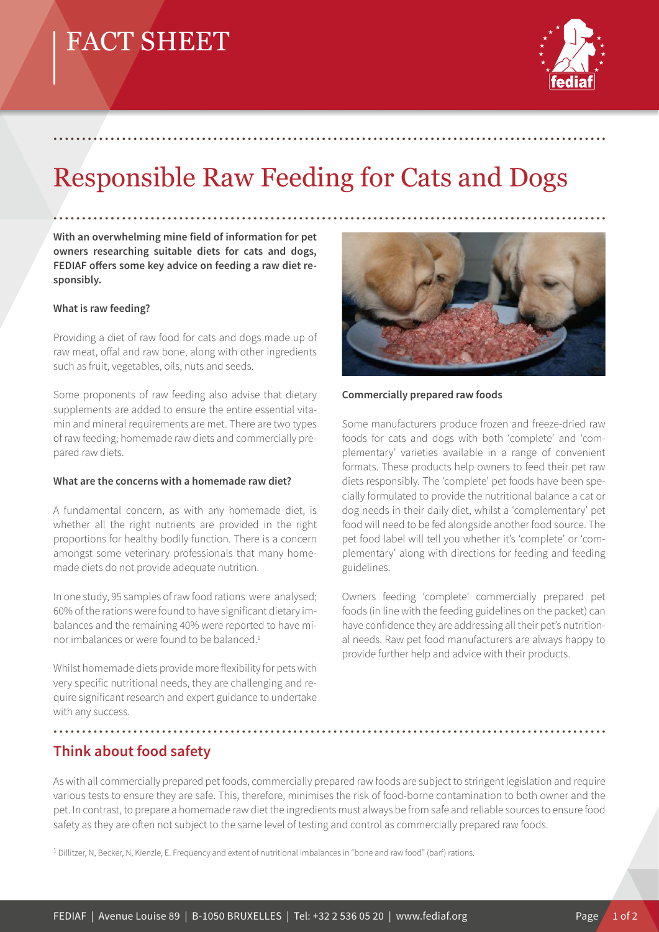# FACT SHEET



# Responsible Raw Feeding for Cats and Dogs

.................................................................................................

**With an overwhelming mine field of information for pet owners researching suitable diets for cats and dogs,**  FEDIAF offers some key advice on feeding a raw diet re**sponsibly.** 

#### **What is raw feeding?**

Providing a diet of raw food for cats and dogs made up of raw meat, offal and raw bone, along with other ingredients such as fruit, vegetables, oils, nuts and seeds.

Some proponents of raw feeding also advise that dietary supplements are added to ensure the entire essential vitamin and mineral requirements are met. There are two types of raw feeding; homemade raw diets and commercially prepared raw diets.

#### **What are the concerns with a homemade raw diet?**

A fundamental concern, as with any homemade diet, is whether all the right nutrients are provided in the right proportions for healthy bodily function. There is a concern amongst some veterinary professionals that many homemade diets do not provide adequate nutrition.

In one study, 95 samples of raw food rations were analysed; 60% of the rations were found to have significant dietary imbalances and the remaining 40% were reported to have minor imbalances or were found to be balanced.<sup>1</sup>

Whilst homemade diets provide more flexibility for pets with very specific nutritional needs, they are challenging and require significant research and expert guidance to undertake with any success.



#### **Commercially prepared raw foods**

Some manufacturers produce frozen and freeze-dried raw foods for cats and dogs with both 'complete' and 'complementary' varieties available in a range of convenient formats. These products help owners to feed their pet raw diets responsibly. The 'complete' pet foods have been specially formulated to provide the nutritional balance a cat or dog needs in their daily diet, whilst a 'complementary' pet food will need to be fed alongside another food source. The pet food label will tell you whether it's 'complete' or 'complementary' along with directions for feeding and feeding guidelines.

Owners feeding 'complete' commercially prepared pet foods (in line with the feeding guidelines on the packet) can have confidence they are addressing all their pet's nutritional needs. Raw pet food manufacturers are always happy to provide further help and advice with their products.

### **Think about food safety**

As with all commercially prepared pet foods, commercially prepared raw foods are subject to stringent legislation and require various tests to ensure they are safe. This, therefore, minimises the risk of food-borne contamination to both owner and the pet. In contrast, to prepare a homemade raw diet the ingredients must always be from safe and reliable sources to ensure food safety as they are often not subject to the same level of testing and control as commercially prepared raw foods.

.................................................................................................

1 Dillitzer, N, Becker, N, Kienzle, E. Frequency and extent of nutritional imbalances in "bone and raw food" (barf) rations.